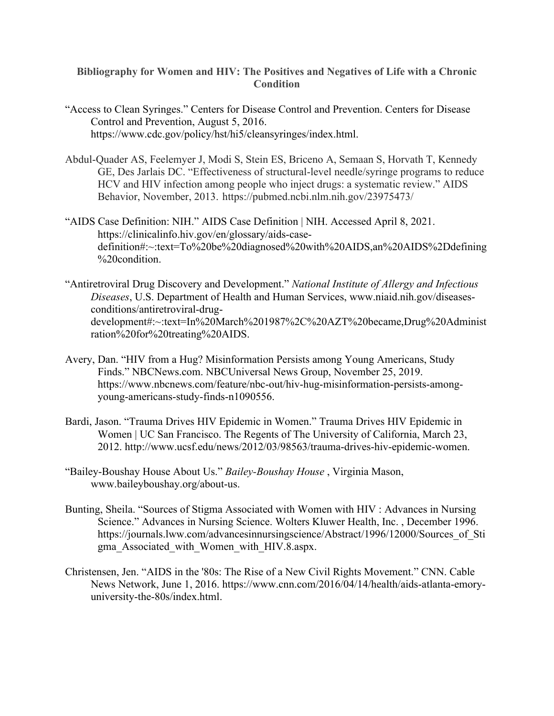## **Bibliography for Women and HIV: The Positives and Negatives of Life with a Chronic Condition**

- "Access to Clean Syringes." Centers for Disease Control and Prevention. Centers for Disease Control and Prevention, August 5, 2016. https://www.cdc.gov/policy/hst/hi5/cleansyringes/index.html.
- Abdul-Quader AS, Feelemyer J, Modi S, Stein ES, Briceno A, Semaan S, Horvath T, Kennedy GE, Des Jarlais DC. "Effectiveness of structural-level needle/syringe programs to reduce HCV and HIV infection among people who inject drugs: a systematic review." AIDS Behavior, November, 2013. https://pubmed.ncbi.nlm.nih.gov/23975473/
- "AIDS Case Definition: NIH." AIDS Case Definition | NIH. Accessed April 8, 2021. https://clinicalinfo.hiv.gov/en/glossary/aids-casedefinition#:~:text=To%20be%20diagnosed%20with%20AIDS,an%20AIDS%2Ddefining %20condition.
- "Antiretroviral Drug Discovery and Development." *National Institute of Allergy and Infectious Diseases*, U.S. Department of Health and Human Services, www.niaid.nih.gov/diseasesconditions/antiretroviral-drugdevelopment#:~:text=In%20March%201987%2C%20AZT%20became,Drug%20Administ ration%20for%20treating%20AIDS.
- Avery, Dan. "HIV from a Hug? Misinformation Persists among Young Americans, Study Finds." NBCNews.com. NBCUniversal News Group, November 25, 2019. https://www.nbcnews.com/feature/nbc-out/hiv-hug-misinformation-persists-amongyoung-americans-study-finds-n1090556.
- Bardi, Jason. "Trauma Drives HIV Epidemic in Women." Trauma Drives HIV Epidemic in Women | UC San Francisco. The Regents of The University of California, March 23, 2012. http://www.ucsf.edu/news/2012/03/98563/trauma-drives-hiv-epidemic-women.
- "Bailey-Boushay House About Us." *Bailey-Boushay House* , Virginia Mason, www.baileyboushay.org/about-us.
- Bunting, Sheila. "Sources of Stigma Associated with Women with HIV : Advances in Nursing Science." Advances in Nursing Science. Wolters Kluwer Health, Inc. , December 1996. https://journals.lww.com/advancesinnursingscience/Abstract/1996/12000/Sources\_of\_Sti gma\_Associated\_with\_Women\_with\_HIV.8.aspx.
- Christensen, Jen. "AIDS in the '80s: The Rise of a New Civil Rights Movement." CNN. Cable News Network, June 1, 2016. https://www.cnn.com/2016/04/14/health/aids-atlanta-emoryuniversity-the-80s/index.html.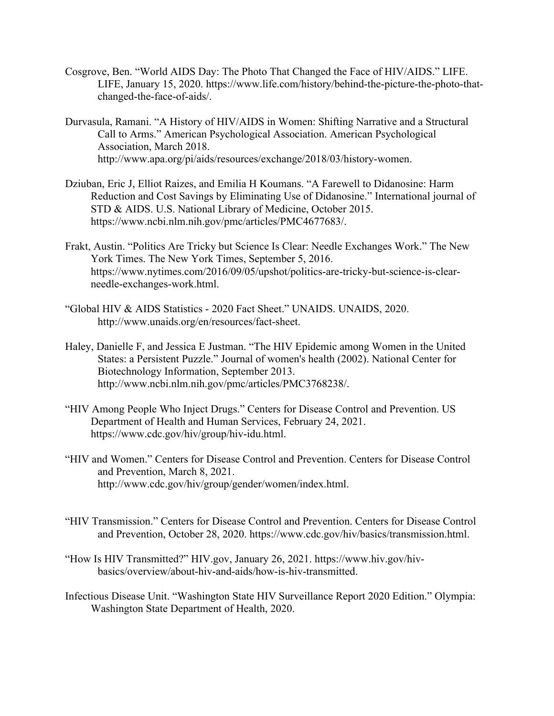- Cosgrove, Ben. "World AIDS Day: The Photo That Changed the Face of HIV/AIDS." LIFE. LIFE, January 15, 2020. https://www.life.com/history/behind-the-picture-the-photo-thatchanged-the-face-of-aids/.
- Durvasula, Ramani. "A History of HIV/AIDS in Women: Shifting Narrative and a Structural Call to Arms." American Psychological Association. American Psychological Association, March 2018. http://www.apa.org/pi/aids/resources/exchange/2018/03/history-women.
- Dziuban, Eric J, Elliot Raizes, and Emilia H Koumans. "A Farewell to Didanosine: Harm Reduction and Cost Savings by Eliminating Use of Didanosine." International journal of STD & AIDS. U.S. National Library of Medicine, October 2015. https://www.ncbi.nlm.nih.gov/pmc/articles/PMC4677683/.
- Frakt, Austin. "Politics Are Tricky but Science Is Clear: Needle Exchanges Work." The New York Times. The New York Times, September 5, 2016. https://www.nytimes.com/2016/09/05/upshot/politics-are-tricky-but-science-is-clearneedle-exchanges-work.html.
- "Global HIV & AIDS Statistics 2020 Fact Sheet." UNAIDS. UNAIDS, 2020. http://www.unaids.org/en/resources/fact-sheet.
- Haley, Danielle F, and Jessica E Justman. "The HIV Epidemic among Women in the United States: a Persistent Puzzle." Journal of women's health (2002). National Center for Biotechnology Information, September 2013. http://www.ncbi.nlm.nih.gov/pmc/articles/PMC3768238/.
- "HIV Among People Who Inject Drugs." Centers for Disease Control and Prevention. US Department of Health and Human Services, February 24, 2021. https://www.cdc.gov/hiv/group/hiv-idu.html.
- "HIV and Women." Centers for Disease Control and Prevention. Centers for Disease Control and Prevention, March 8, 2021. http://www.cdc.gov/hiv/group/gender/women/index.html.
- "HIV Transmission." Centers for Disease Control and Prevention. Centers for Disease Control and Prevention, October 28, 2020. https://www.cdc.gov/hiv/basics/transmission.html.
- "How Is HIV Transmitted?" HIV.gov, January 26, 2021. https://www.hiv.gov/hivbasics/overview/about-hiv-and-aids/how-is-hiv-transmitted.
- Infectious Disease Unit. "Washington State HIV Surveillance Report 2020 Edition." Olympia: Washington State Department of Health, 2020.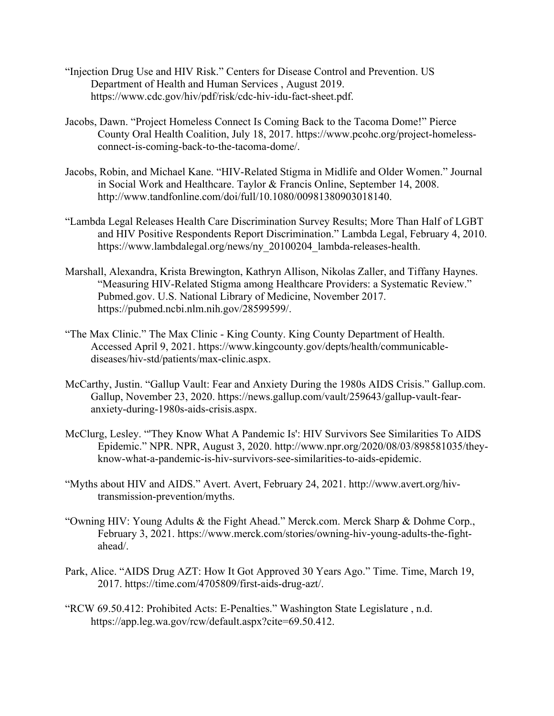- "Injection Drug Use and HIV Risk." Centers for Disease Control and Prevention. US Department of Health and Human Services , August 2019. https://www.cdc.gov/hiv/pdf/risk/cdc-hiv-idu-fact-sheet.pdf.
- Jacobs, Dawn. "Project Homeless Connect Is Coming Back to the Tacoma Dome!" Pierce County Oral Health Coalition, July 18, 2017. https://www.pcohc.org/project-homelessconnect-is-coming-back-to-the-tacoma-dome/.
- Jacobs, Robin, and Michael Kane. "HIV-Related Stigma in Midlife and Older Women." Journal in Social Work and Healthcare. Taylor & Francis Online, September 14, 2008. http://www.tandfonline.com/doi/full/10.1080/00981380903018140.
- "Lambda Legal Releases Health Care Discrimination Survey Results; More Than Half of LGBT and HIV Positive Respondents Report Discrimination." Lambda Legal, February 4, 2010. https://www.lambdalegal.org/news/ny\_20100204\_lambda-releases-health.
- Marshall, Alexandra, Krista Brewington, Kathryn Allison, Nikolas Zaller, and Tiffany Haynes. "Measuring HIV-Related Stigma among Healthcare Providers: a Systematic Review." Pubmed.gov. U.S. National Library of Medicine, November 2017. https://pubmed.ncbi.nlm.nih.gov/28599599/.
- "The Max Clinic." The Max Clinic King County. King County Department of Health. Accessed April 9, 2021. https://www.kingcounty.gov/depts/health/communicablediseases/hiv-std/patients/max-clinic.aspx.
- McCarthy, Justin. "Gallup Vault: Fear and Anxiety During the 1980s AIDS Crisis." Gallup.com. Gallup, November 23, 2020. https://news.gallup.com/vault/259643/gallup-vault-fearanxiety-during-1980s-aids-crisis.aspx.
- McClurg, Lesley. "'They Know What A Pandemic Is': HIV Survivors See Similarities To AIDS Epidemic." NPR. NPR, August 3, 2020. http://www.npr.org/2020/08/03/898581035/theyknow-what-a-pandemic-is-hiv-survivors-see-similarities-to-aids-epidemic.
- "Myths about HIV and AIDS." Avert. Avert, February 24, 2021. http://www.avert.org/hivtransmission-prevention/myths.
- "Owning HIV: Young Adults & the Fight Ahead." Merck.com. Merck Sharp & Dohme Corp., February 3, 2021. https://www.merck.com/stories/owning-hiv-young-adults-the-fightahead/.
- Park, Alice. "AIDS Drug AZT: How It Got Approved 30 Years Ago." Time. Time, March 19, 2017. https://time.com/4705809/first-aids-drug-azt/.
- "RCW 69.50.412: Prohibited Acts: E-Penalties." Washington State Legislature , n.d. https://app.leg.wa.gov/rcw/default.aspx?cite=69.50.412.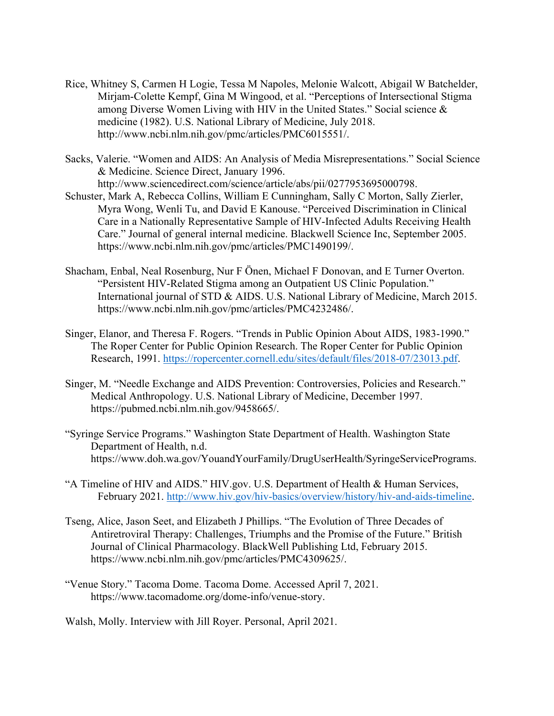- Rice, Whitney S, Carmen H Logie, Tessa M Napoles, Melonie Walcott, Abigail W Batchelder, Mirjam-Colette Kempf, Gina M Wingood, et al. "Perceptions of Intersectional Stigma among Diverse Women Living with HIV in the United States." Social science & medicine (1982). U.S. National Library of Medicine, July 2018. http://www.ncbi.nlm.nih.gov/pmc/articles/PMC6015551/.
- Sacks, Valerie. "Women and AIDS: An Analysis of Media Misrepresentations." Social Science & Medicine. Science Direct, January 1996. http://www.sciencedirect.com/science/article/abs/pii/0277953695000798.
- Schuster, Mark A, Rebecca Collins, William E Cunningham, Sally C Morton, Sally Zierler, Myra Wong, Wenli Tu, and David E Kanouse. "Perceived Discrimination in Clinical Care in a Nationally Representative Sample of HIV-Infected Adults Receiving Health Care." Journal of general internal medicine. Blackwell Science Inc, September 2005. https://www.ncbi.nlm.nih.gov/pmc/articles/PMC1490199/.
- Shacham, Enbal, Neal Rosenburg, Nur F Önen, Michael F Donovan, and E Turner Overton. "Persistent HIV-Related Stigma among an Outpatient US Clinic Population." International journal of STD & AIDS. U.S. National Library of Medicine, March 2015. https://www.ncbi.nlm.nih.gov/pmc/articles/PMC4232486/.
- Singer, Elanor, and Theresa F. Rogers. "Trends in Public Opinion About AIDS, 1983-1990." The Roper Center for Public Opinion Research. The Roper Center for Public Opinion Research, 1991. [https://ropercenter.cornell.edu/sites/default/files/2018-07/23013.pdf.](https://ropercenter.cornell.edu/sites/default/files/2018-07/23013.pdf)
- Singer, M. "Needle Exchange and AIDS Prevention: Controversies, Policies and Research." Medical Anthropology. U.S. National Library of Medicine, December 1997. https://pubmed.ncbi.nlm.nih.gov/9458665/.
- "Syringe Service Programs." Washington State Department of Health. Washington State Department of Health, n.d. https://www.doh.wa.gov/YouandYourFamily/DrugUserHealth/SyringeServicePrograms.
- "A Timeline of HIV and AIDS." HIV.gov. U.S. Department of Health & Human Services, February 2021. [http://www.hiv.gov/hiv-basics/overview/history/hiv-and-aids-timeline.](http://www.hiv.gov/hiv-basics/overview/history/hiv-and-aids-timeline)
- Tseng, Alice, Jason Seet, and Elizabeth J Phillips. "The Evolution of Three Decades of Antiretroviral Therapy: Challenges, Triumphs and the Promise of the Future." British Journal of Clinical Pharmacology. BlackWell Publishing Ltd, February 2015. https://www.ncbi.nlm.nih.gov/pmc/articles/PMC4309625/.
- "Venue Story." Tacoma Dome. Tacoma Dome. Accessed April 7, 2021. https://www.tacomadome.org/dome-info/venue-story.

Walsh, Molly. Interview with Jill Royer. Personal, April 2021.